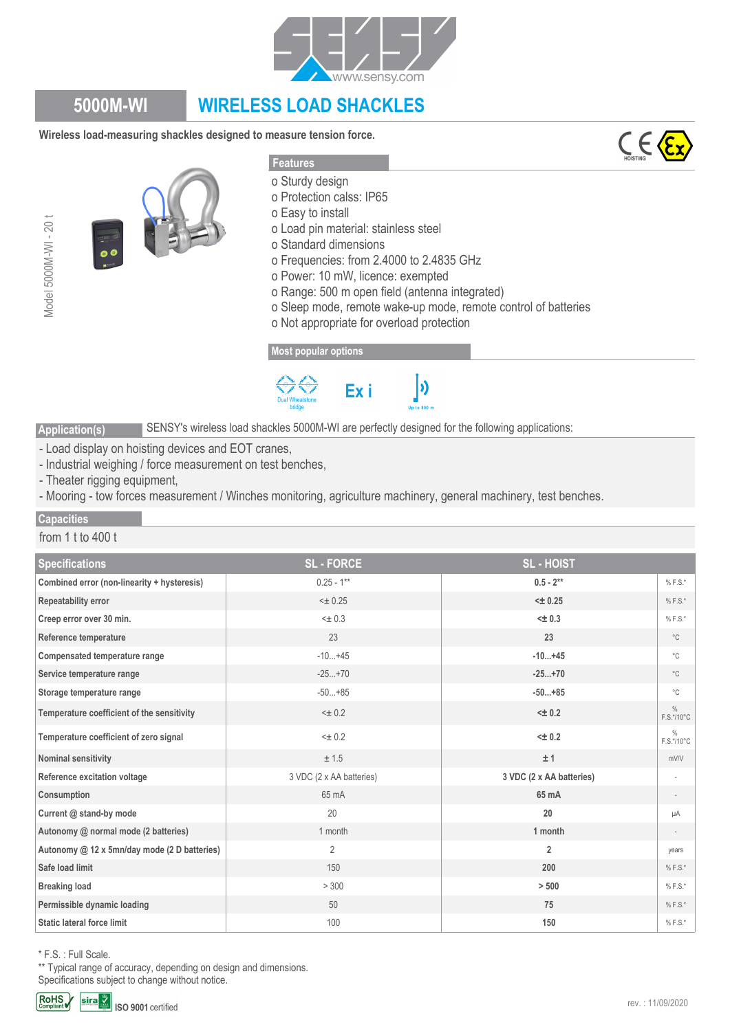

# **5000M-WI WIRELESS LOAD SHACKLES**

**Wireless load-measuring shackles designed to measure tension force.**





#### **Features**

- o Sturdy design
- o Protection calss: IP65
- o Easy to install
- o Load pin material: stainless steel
- o Standard dimensions
- o Frequencies: from 2.4000 to 2.4835 GHz
- o Power: 10 mW, licence: exempted
- o Range: 500 m open field (antenna integrated)
- o Sleep mode, remote wake-up mode, remote control of batteries

 $\bm{b}$ 

o Not appropriate for overload protection

### **[Most popular options](www.sensy.com)**



SENSY's wireless load shackles 5000M-WI are perfectly designed for the following applications:

- Load display on hoisting devices and EOT cranes,
- Industrial weighing / force measurement on test benches,
- Theater rigging equipment,
- Mooring tow forces measurement / Winches monitoring, agriculture machinery, general machinery, test benches.

#### **Capacities**

Model 5000M-WI - 20 t

Model 5000M-WI-20 t

#### from 1 t to 400 t

**Application(s)**

| <b>Specifications</b>                        | <b>SL-FORCE</b>          | <b>SL-HOIST</b>          |                             |
|----------------------------------------------|--------------------------|--------------------------|-----------------------------|
| Combined error (non-linearity + hysteresis)  | $0.25 - 1**$             | $0.5 - 2**$              | $% F.S.*$                   |
| Repeatability error                          | $< \pm 0.25$             | $< \pm 0.25$             | $% F.S.*$                   |
| Creep error over 30 min.                     | $\leq$ 0.3               | $< \pm 0.3$              | $% F.S.*$                   |
| Reference temperature                        | 23                       | 23                       | $^{\circ}$ C                |
| Compensated temperature range                | $-10+45$                 | $-10+45$                 | $^{\circ}$ C                |
| Service temperature range                    | $-25+70$                 | $-25+70$                 | $^{\circ}$ C                |
| Storage temperature range                    | $-50+85$                 | $-50+85$                 | $^{\circ}$ C                |
| Temperature coefficient of the sensitivity   | $< \pm 0.2$              | $< \pm 0.2$              | $\frac{0}{0}$<br>F.S.*/10°C |
| Temperature coefficient of zero signal       | $< \pm 0.2$              | $< \pm 0.2$              | $\frac{0}{0}$<br>F.S.*/10°C |
| Nominal sensitivity                          | ± 1.5                    | ±1                       | mV/V                        |
| Reference excitation voltage                 | 3 VDC (2 x AA batteries) | 3 VDC (2 x AA batteries) |                             |
| Consumption                                  | 65 mA                    | 65 mA                    |                             |
| Current @ stand-by mode                      | 20                       | 20                       | μA                          |
| Autonomy @ normal mode (2 batteries)         | 1 month                  | 1 month                  |                             |
| Autonomy @ 12 x 5mn/day mode (2 D batteries) | $\overline{2}$           | $\overline{2}$           | years                       |
| Safe load limit                              | 150                      | 200                      | $% F.S.*$                   |
| <b>Breaking load</b>                         | > 300                    | > 500                    | $% F.S.*$                   |
| Permissible dynamic loading                  | 50                       | 75                       | $% F.S.*$                   |
| Static lateral force limit                   | 100                      | 150                      | $% F.S.*$                   |
|                                              |                          |                          |                             |

\* F.S. : Full Scale.

\*\* Typical range of accuracy, depending on design and dimensions.

Specifications subject to change without notice.